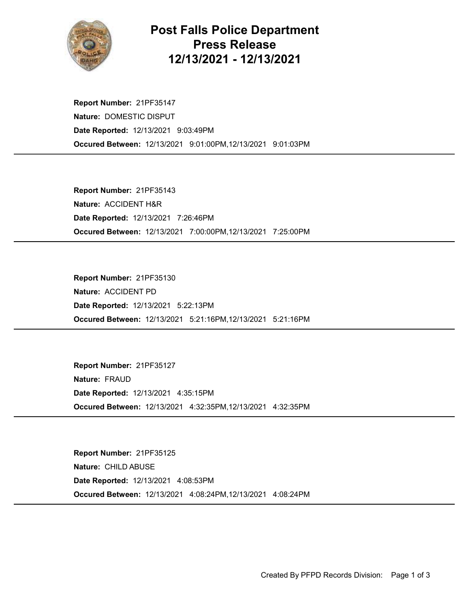

## Post Falls Police Department Press Release 12/13/2021 - 12/13/2021

Occured Between: 12/13/2021 9:01:00PM,12/13/2021 9:01:03PM Report Number: 21PF35147 Nature: DOMESTIC DISPUT Date Reported: 12/13/2021 9:03:49PM

Occured Between: 12/13/2021 7:00:00PM,12/13/2021 7:25:00PM Report Number: 21PF35143 Nature: ACCIDENT H&R Date Reported: 12/13/2021 7:26:46PM

Occured Between: 12/13/2021 5:21:16PM,12/13/2021 5:21:16PM Report Number: 21PF35130 Nature: ACCIDENT PD Date Reported: 12/13/2021 5:22:13PM

Occured Between: 12/13/2021 4:32:35PM,12/13/2021 4:32:35PM Report Number: 21PF35127 Nature: FRAUD Date Reported: 12/13/2021 4:35:15PM

Occured Between: 12/13/2021 4:08:24PM,12/13/2021 4:08:24PM Report Number: 21PF35125 Nature: CHILD ABUSE Date Reported: 12/13/2021 4:08:53PM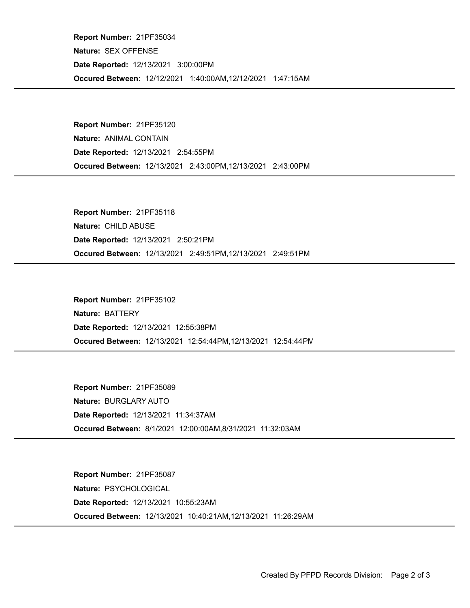Occured Between: 12/12/2021 1:40:00AM,12/12/2021 1:47:15AM Report Number: 21PF35034 Nature: SEX OFFENSE Date Reported: 12/13/2021 3:00:00PM

Occured Between: 12/13/2021 2:43:00PM,12/13/2021 2:43:00PM Report Number: 21PF35120 Nature: ANIMAL CONTAIN Date Reported: 12/13/2021 2:54:55PM

Occured Between: 12/13/2021 2:49:51PM,12/13/2021 2:49:51PM Report Number: 21PF35118 Nature: CHILD ABUSE Date Reported: 12/13/2021 2:50:21PM

Occured Between: 12/13/2021 12:54:44PM,12/13/2021 12:54:44PM Report Number: 21PF35102 Nature: BATTERY Date Reported: 12/13/2021 12:55:38PM

Occured Between: 8/1/2021 12:00:00AM,8/31/2021 11:32:03AM Report Number: 21PF35089 Nature: BURGLARY AUTO Date Reported: 12/13/2021 11:34:37AM

Occured Between: 12/13/2021 10:40:21AM,12/13/2021 11:26:29AM Report Number: 21PF35087 Nature: PSYCHOLOGICAL Date Reported: 12/13/2021 10:55:23AM